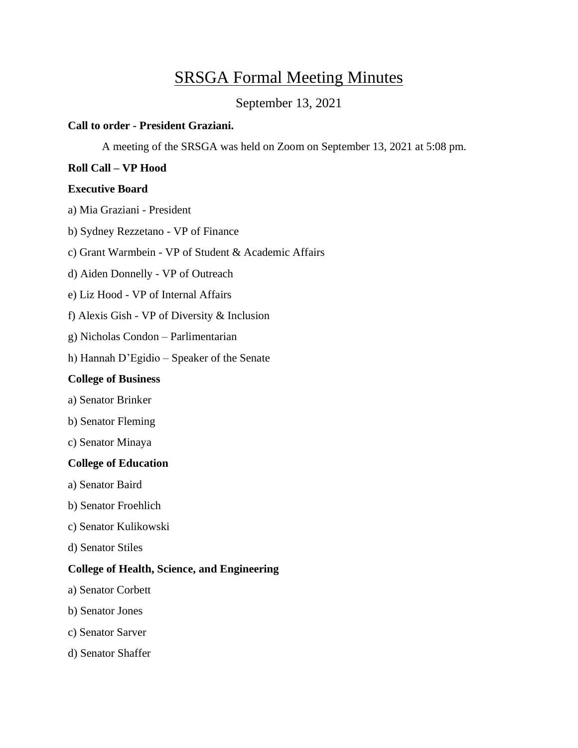# SRSGA Formal Meeting Minutes

September 13, 2021

### **Call to order - President Graziani.**

A meeting of the SRSGA was held on Zoom on September 13, 2021 at 5:08 pm.

# **Roll Call – VP Hood**

### **Executive Board**

a) Mia Graziani - President

- b) Sydney Rezzetano VP of Finance
- c) Grant Warmbein VP of Student & Academic Affairs
- d) Aiden Donnelly VP of Outreach
- e) Liz Hood VP of Internal Affairs
- f) Alexis Gish VP of Diversity & Inclusion
- g) Nicholas Condon Parlimentarian
- h) Hannah D'Egidio Speaker of the Senate

# **College of Business**

- a) Senator Brinker
- b) Senator Fleming
- c) Senator Minaya

# **College of Education**

- a) Senator Baird
- b) Senator Froehlich
- c) Senator Kulikowski
- d) Senator Stiles

# **College of Health, Science, and Engineering**

- a) Senator Corbett
- b) Senator Jones
- c) Senator Sarver
- d) Senator Shaffer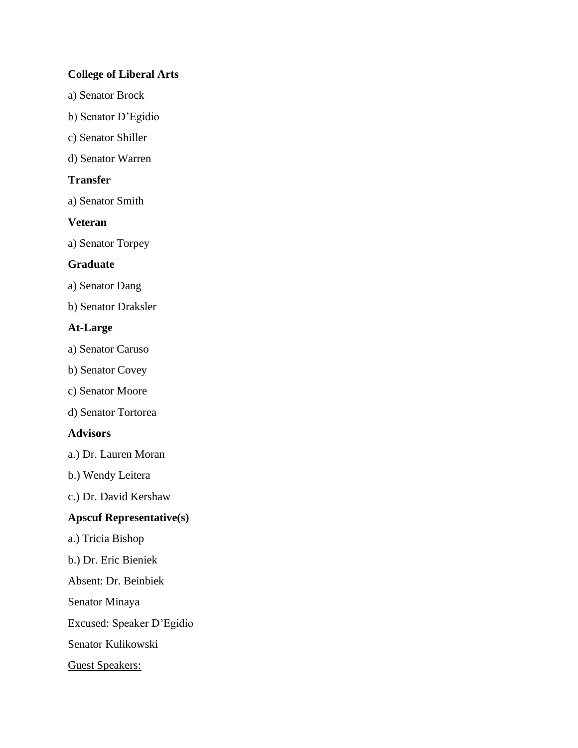# **College of Liberal Arts**

- a) Senator Brock
- b) Senator D'Egidio
- c) Senator Shiller
- d) Senator Warren

# **Transfer**

a) Senator Smith

# **Veteran**

a) Senator Torpey

# **Graduate**

a) Senator Dang

b) Senator Draksler

# **At-Large**

- a) Senator Caruso
- b) Senator Covey
- c) Senator Moore
- d) Senator Tortorea

### **Advisors**

- a.) Dr. Lauren Moran
- b.) Wendy Leitera

c.) Dr. David Kershaw

# **Apscuf Representative(s)**

- a.) Tricia Bishop
- b.) Dr. Eric Bieniek
- Absent: Dr. Beinbiek
- Senator Minaya

Excused: Speaker D'Egidio

Senator Kulikowski

Guest Speakers: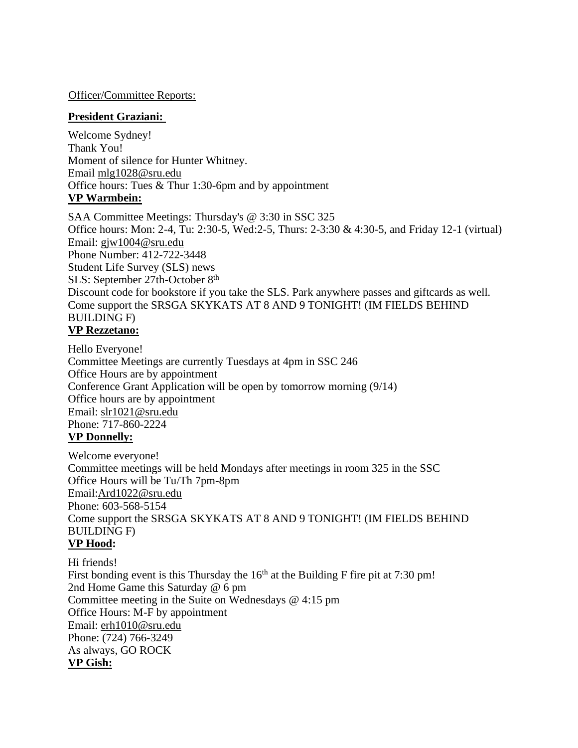Officer/Committee Reports:

### **President Graziani:**

Welcome Sydney! Thank You! Moment of silence for Hunter Whitney. Email [mlg1028@sru.edu](mailto:mlg1028@sru.edu) Office hours: Tues & Thur 1:30-6pm and by appointment **VP Warmbein:**

SAA Committee Meetings: Thursday's @ 3:30 in SSC 325 Office hours: Mon: 2-4, Tu: 2:30-5, Wed:2-5, Thurs: 2-3:30 & 4:30-5, and Friday 12-1 (virtual) Email: [gjw1004@sru.edu](mailto:gjw1004@sru.edu) Phone Number: 412-722-3448 Student Life Survey (SLS) news SLS: September 27th-October 8<sup>th</sup> Discount code for bookstore if you take the SLS. Park anywhere passes and giftcards as well. Come support the SRSGA SKYKATS AT 8 AND 9 TONIGHT! (IM FIELDS BEHIND BUILDING F) **VP Rezzetano:**

Hello Everyone! Committee Meetings are currently Tuesdays at 4pm in SSC 246 Office Hours are by appointment Conference Grant Application will be open by tomorrow morning (9/14) Office hours are by appointment Email: [slr1021@sru.edu](mailto:slr1021@sru.edu) Phone: 717-860-2224 **VP Donnelly:**

Welcome everyone! Committee meetings will be held Mondays after meetings in room 325 in the SSC Office Hours will be Tu/Th 7pm-8pm Email[:Ard1022@sru.edu](mailto:Ard1022@sru.edu) Phone: 603-568-5154 Come support the SRSGA SKYKATS AT 8 AND 9 TONIGHT! (IM FIELDS BEHIND BUILDING F) **VP Hood:**

Hi friends! First bonding event is this Thursday the  $16<sup>th</sup>$  at the Building F fire pit at 7:30 pm! 2nd Home Game this Saturday @ 6 pm Committee meeting in the Suite on Wednesdays @ 4:15 pm Office Hours: M-F by appointment Email: [erh1010@sru.edu](mailto:erh1010@sru.edu) Phone: (724) 766-3249 As always, GO ROCK **VP Gish:**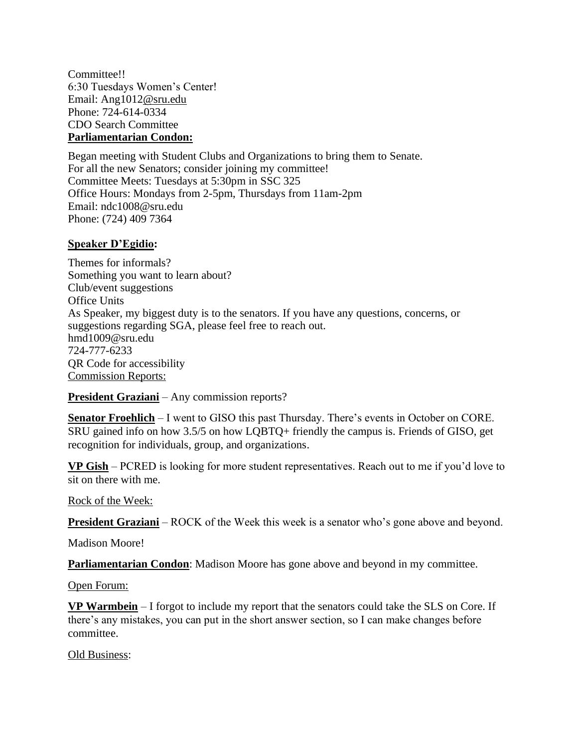Committee!! 6:30 Tuesdays Women's Center! Email: Ang101[2@sru.edu](mailto:Ard1022@sru.edu) Phone: 724-614-0334 CDO Search Committee **Parliamentarian Condon:**

Began meeting with Student Clubs and Organizations to bring them to Senate. For all the new Senators; consider joining my committee! Committee Meets: Tuesdays at 5:30pm in SSC 325 Office Hours: Mondays from 2-5pm, Thursdays from 11am-2pm Email: ndc1008@sru.edu Phone: (724) 409 7364

# **Speaker D'Egidio:**

Themes for informals? Something you want to learn about? Club/event suggestions Office Units As Speaker, my biggest duty is to the senators. If you have any questions, concerns, or suggestions regarding SGA, please feel free to reach out. [hmd1009@sru.edu](mailto:hmd1009@sru.edu) 724-777-6233 QR Code for accessibility Commission Reports:

**President Graziani** – Any commission reports?

**Senator Froehlich** – I went to GISO this past Thursday. There's events in October on CORE. SRU gained info on how 3.5/5 on how LQBTQ+ friendly the campus is. Friends of GISO, get recognition for individuals, group, and organizations.

**VP Gish** – PCRED is looking for more student representatives. Reach out to me if you'd love to sit on there with me.

Rock of the Week:

**President Graziani** – ROCK of the Week this week is a senator who's gone above and beyond.

Madison Moore!

**Parliamentarian Condon**: Madison Moore has gone above and beyond in my committee.

Open Forum:

**VP Warmbein** – I forgot to include my report that the senators could take the SLS on Core. If there's any mistakes, you can put in the short answer section, so I can make changes before committee.

Old Business: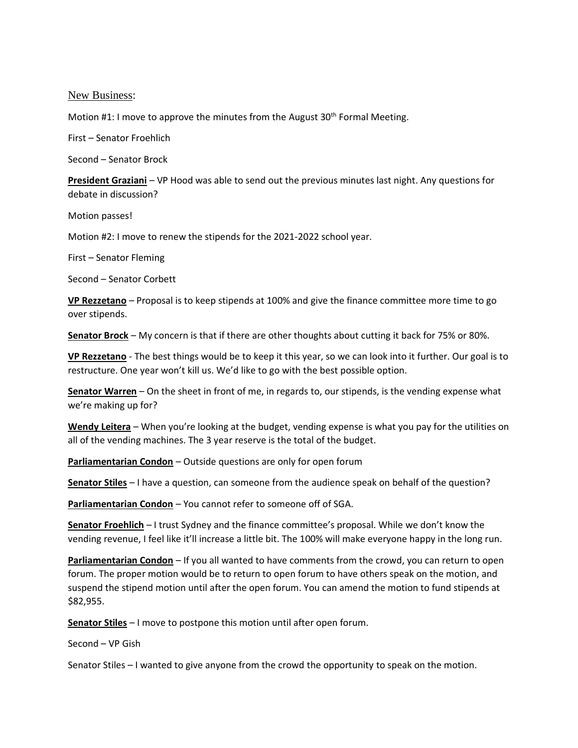New Business:

Motion #1: I move to approve the minutes from the August  $30<sup>th</sup>$  Formal Meeting.

First – Senator Froehlich

Second – Senator Brock

**President Graziani** – VP Hood was able to send out the previous minutes last night. Any questions for debate in discussion?

Motion passes!

Motion #2: I move to renew the stipends for the 2021-2022 school year.

First – Senator Fleming

Second – Senator Corbett

**VP Rezzetano** – Proposal is to keep stipends at 100% and give the finance committee more time to go over stipends.

**Senator Brock** – My concern is that if there are other thoughts about cutting it back for 75% or 80%.

**VP Rezzetano** - The best things would be to keep it this year, so we can look into it further. Our goal is to restructure. One year won't kill us. We'd like to go with the best possible option.

**Senator Warren** – On the sheet in front of me, in regards to, our stipends, is the vending expense what we're making up for?

**Wendy Leitera** – When you're looking at the budget, vending expense is what you pay for the utilities on all of the vending machines. The 3 year reserve is the total of the budget.

**Parliamentarian Condon** – Outside questions are only for open forum

**Senator Stiles** – I have a question, can someone from the audience speak on behalf of the question?

**Parliamentarian Condon** – You cannot refer to someone off of SGA.

**Senator Froehlich** – I trust Sydney and the finance committee's proposal. While we don't know the vending revenue, I feel like it'll increase a little bit. The 100% will make everyone happy in the long run.

**Parliamentarian Condon** – If you all wanted to have comments from the crowd, you can return to open forum. The proper motion would be to return to open forum to have others speak on the motion, and suspend the stipend motion until after the open forum. You can amend the motion to fund stipends at \$82,955.

**Senator Stiles** – I move to postpone this motion until after open forum.

Second – VP Gish

Senator Stiles – I wanted to give anyone from the crowd the opportunity to speak on the motion.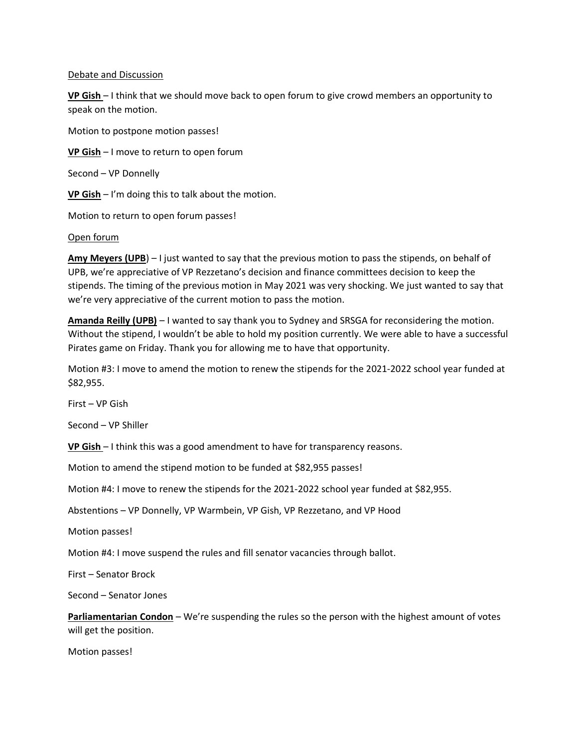#### Debate and Discussion

**VP Gish** – I think that we should move back to open forum to give crowd members an opportunity to speak on the motion.

Motion to postpone motion passes!

**VP Gish** – I move to return to open forum

Second – VP Donnelly

**VP Gish** – I'm doing this to talk about the motion.

Motion to return to open forum passes!

#### Open forum

**Amy Meyers (UPB**) – I just wanted to say that the previous motion to pass the stipends, on behalf of UPB, we're appreciative of VP Rezzetano's decision and finance committees decision to keep the stipends. The timing of the previous motion in May 2021 was very shocking. We just wanted to say that we're very appreciative of the current motion to pass the motion.

**Amanda Reilly (UPB)** – I wanted to say thank you to Sydney and SRSGA for reconsidering the motion. Without the stipend, I wouldn't be able to hold my position currently. We were able to have a successful Pirates game on Friday. Thank you for allowing me to have that opportunity.

Motion #3: I move to amend the motion to renew the stipends for the 2021-2022 school year funded at \$82,955.

First – VP Gish

Second – VP Shiller

**VP Gish** – I think this was a good amendment to have for transparency reasons.

Motion to amend the stipend motion to be funded at \$82,955 passes!

Motion #4: I move to renew the stipends for the 2021-2022 school year funded at \$82,955.

Abstentions – VP Donnelly, VP Warmbein, VP Gish, VP Rezzetano, and VP Hood

Motion passes!

Motion #4: I move suspend the rules and fill senator vacancies through ballot.

First – Senator Brock

Second – Senator Jones

**Parliamentarian Condon** – We're suspending the rules so the person with the highest amount of votes will get the position.

Motion passes!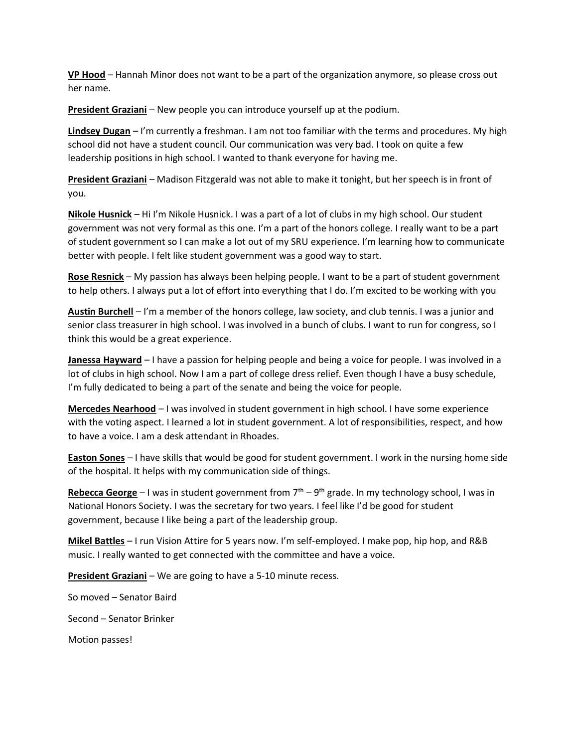**VP Hood** – Hannah Minor does not want to be a part of the organization anymore, so please cross out her name.

**President Graziani** – New people you can introduce yourself up at the podium.

**Lindsey Dugan** – I'm currently a freshman. I am not too familiar with the terms and procedures. My high school did not have a student council. Our communication was very bad. I took on quite a few leadership positions in high school. I wanted to thank everyone for having me.

**President Graziani** – Madison Fitzgerald was not able to make it tonight, but her speech is in front of you.

**Nikole Husnick** – Hi I'm Nikole Husnick. I was a part of a lot of clubs in my high school. Our student government was not very formal as this one. I'm a part of the honors college. I really want to be a part of student government so I can make a lot out of my SRU experience. I'm learning how to communicate better with people. I felt like student government was a good way to start.

**Rose Resnick** – My passion has always been helping people. I want to be a part of student government to help others. I always put a lot of effort into everything that I do. I'm excited to be working with you

**Austin Burchell** – I'm a member of the honors college, law society, and club tennis. I was a junior and senior class treasurer in high school. I was involved in a bunch of clubs. I want to run for congress, so I think this would be a great experience.

**Janessa Hayward** – I have a passion for helping people and being a voice for people. I was involved in a lot of clubs in high school. Now I am a part of college dress relief. Even though I have a busy schedule, I'm fully dedicated to being a part of the senate and being the voice for people.

**Mercedes Nearhood** – I was involved in student government in high school. I have some experience with the voting aspect. I learned a lot in student government. A lot of responsibilities, respect, and how to have a voice. I am a desk attendant in Rhoades.

**Easton Sones** – I have skills that would be good for student government. I work in the nursing home side of the hospital. It helps with my communication side of things.

Rebecca George - I was in student government from 7<sup>th</sup> - 9<sup>th</sup> grade. In my technology school, I was in National Honors Society. I was the secretary for two years. I feel like I'd be good for student government, because I like being a part of the leadership group.

**Mikel Battles** – I run Vision Attire for 5 years now. I'm self-employed. I make pop, hip hop, and R&B music. I really wanted to get connected with the committee and have a voice.

**President Graziani** – We are going to have a 5-10 minute recess.

So moved – Senator Baird

Second – Senator Brinker

Motion passes!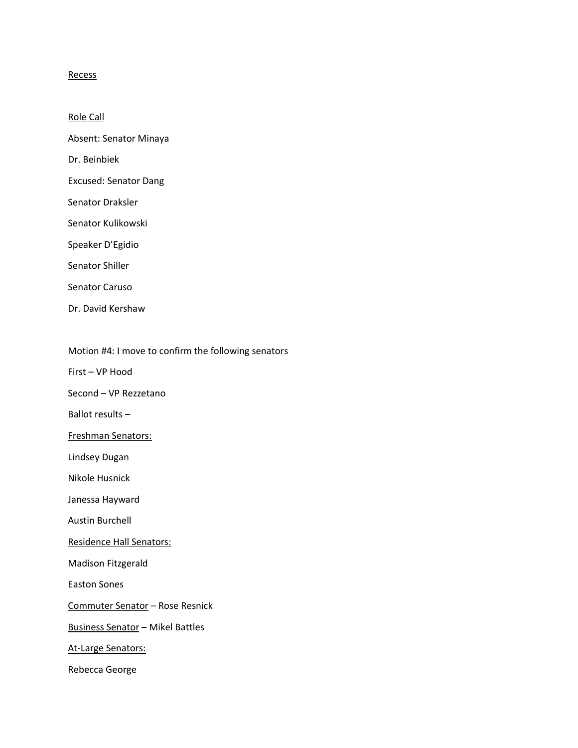#### **Recess**

Role Call

Absent: Senator Minaya

Dr. Beinbiek

- Excused: Senator Dang
- Senator Draksler
- Senator Kulikowski
- Speaker D'Egidio
- Senator Shiller
- Senator Caruso
- Dr. David Kershaw

Motion #4: I move to confirm the following senators

- First VP Hood
- Second VP Rezzetano
- Ballot results –
- Freshman Senators:
- Lindsey Dugan
- Nikole Husnick
- Janessa Hayward
- Austin Burchell
- Residence Hall Senators:
- Madison Fitzgerald
- Easton Sones
- Commuter Senator Rose Resnick
- Business Senator Mikel Battles
- At-Large Senators:
- Rebecca George